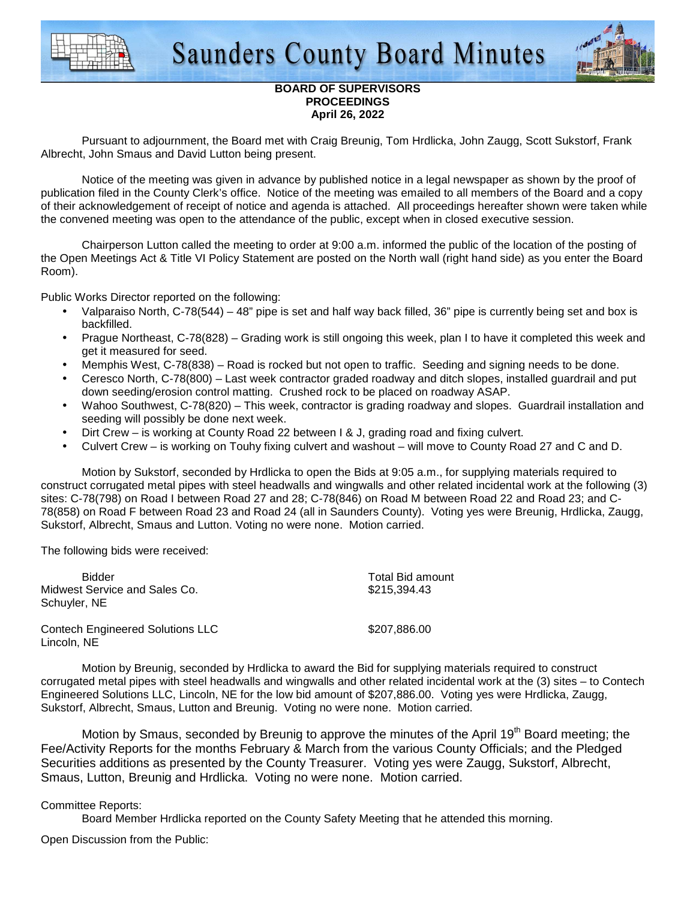



## **BOARD OF SUPERVISORS PROCEEDINGS April 26, 2022**

 Pursuant to adjournment, the Board met with Craig Breunig, Tom Hrdlicka, John Zaugg, Scott Sukstorf, Frank Albrecht, John Smaus and David Lutton being present.

 Notice of the meeting was given in advance by published notice in a legal newspaper as shown by the proof of publication filed in the County Clerk's office. Notice of the meeting was emailed to all members of the Board and a copy of their acknowledgement of receipt of notice and agenda is attached. All proceedings hereafter shown were taken while the convened meeting was open to the attendance of the public, except when in closed executive session.

 Chairperson Lutton called the meeting to order at 9:00 a.m. informed the public of the location of the posting of the Open Meetings Act & Title VI Policy Statement are posted on the North wall (right hand side) as you enter the Board Room).

Public Works Director reported on the following:

- Valparaiso North, C-78(544) 48" pipe is set and half way back filled, 36" pipe is currently being set and box is backfilled.
- Prague Northeast, C-78(828) Grading work is still ongoing this week, plan I to have it completed this week and get it measured for seed.
- Memphis West, C-78(838) Road is rocked but not open to traffic. Seeding and signing needs to be done.
- Ceresco North, C-78(800) Last week contractor graded roadway and ditch slopes, installed guardrail and put down seeding/erosion control matting. Crushed rock to be placed on roadway ASAP.
- Wahoo Southwest, C-78(820) This week, contractor is grading roadway and slopes. Guardrail installation and seeding will possibly be done next week.
- Dirt Crew is working at County Road 22 between I & J, grading road and fixing culvert.
- Culvert Crew is working on Touhy fixing culvert and washout will move to County Road 27 and C and D.

Motion by Sukstorf, seconded by Hrdlicka to open the Bids at 9:05 a.m., for supplying materials required to construct corrugated metal pipes with steel headwalls and wingwalls and other related incidental work at the following (3) sites: C-78(798) on Road I between Road 27 and 28; C-78(846) on Road M between Road 22 and Road 23; and C-78(858) on Road F between Road 23 and Road 24 (all in Saunders County). Voting yes were Breunig, Hrdlicka, Zaugg, Sukstorf, Albrecht, Smaus and Lutton. Voting no were none. Motion carried.

The following bids were received:

| <b>Bidder</b><br>Midwest Service and Sales Co.<br>Schuyler, NE | <b>Total Bid amount</b><br>\$215,394.43 |
|----------------------------------------------------------------|-----------------------------------------|
| <b>Contech Engineered Solutions LLC</b><br>Lincoln, NE         | \$207,886,00                            |

 Motion by Breunig, seconded by Hrdlicka to award the Bid for supplying materials required to construct corrugated metal pipes with steel headwalls and wingwalls and other related incidental work at the (3) sites – to Contech Engineered Solutions LLC, Lincoln, NE for the low bid amount of \$207,886.00. Voting yes were Hrdlicka, Zaugg, Sukstorf, Albrecht, Smaus, Lutton and Breunig. Voting no were none. Motion carried.

Motion by Smaus, seconded by Breunig to approve the minutes of the April 19<sup>th</sup> Board meeting; the Fee/Activity Reports for the months February & March from the various County Officials; and the Pledged Securities additions as presented by the County Treasurer. Voting yes were Zaugg, Sukstorf, Albrecht, Smaus, Lutton, Breunig and Hrdlicka. Voting no were none. Motion carried.

## Committee Reports:

Board Member Hrdlicka reported on the County Safety Meeting that he attended this morning.

Open Discussion from the Public: